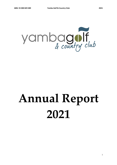

# **Annual Report 2021**

1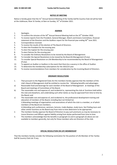## **NOTICE OF MEETING**

Notice is hereby given that the 51<sup>st</sup> Annual General Meeting of the Yamba Golf & Country Club Ltd will be held at the clubhouse, River St Yamba, at 9am on Sunday,  $31<sup>st</sup>$  of October 2021.

## **AGENDA**

- 1. Apologies.
- 2. To confirm the minutes of the  $50<sup>th</sup>$  Annual General Meeting held on the 25<sup>th</sup> October 2020.
- 3. To receive reports from the President, General Manager, Match and Greens Committees, financial statement of the Directors and the Auditors report for the financial year ending  $30<sup>th</sup>$  June 2021.
- 4. Correspondence received.
- 5. To receive the results of the election of The Board of Directors.
- 6. To elect the President for the ensuing year.
- 7. To elect the Captain for the ensuing year.
- 8. To elect Patrons for the ensuing year.
- 9. To consider the Ordinary Resolutions to be moved by the Board of Management.
- 10. To Consider the Special Resolutions to be moved by the Board & Management (if any).
- 11. To consider Special Resolution on Life Membership to be recommended by the Board of Management (if any).
- 12. To appoint an Auditor or Auditors in the event that there be a vacancy in the office of Auditor.
- 13. To determine the membership subscriptions for the 2022/23 year.
- 14. To receive recommendations from members for consideration by the incoming Board of Directors.

## **ORDINARY RESOLUTIONS**

- 1. That pursuant to the Registered Clubs Act the members hereby approve that the members of the club's Board of Management shall be entitled to receive the following benefits and advantages:
- a) Reasonable food and beverage for each member of the Board of Management at meetings of the Board and meetings of Committees of the Board;
- b) The reasonable cost and expense of, and incidental to, representing the club at functions held within the club and elsewhere, and undertaking such other duties as may be approved from time to time by the Board; and
- c) The reasonable cost and expense of, and incidental to, the professional development training and education of members of the Board, including (but not limited to): i) Attending meetings of organisations and associations of which the club is a member, or of which members of the Board are members; ii) Attending such conferences, seminars, lectures, trade displays, study tours, fact finding tours and other similar functions as the Board may from time to time determine to be appropriate.
- 2. The members hereby approve the Board of Directors to pay such premiums as may be necessary to insure Directors and Officers against liability arising from duties performed from time to time.
- 3. The members acknowledge that the benefits in paragraph (1) and in paragraph (2) above are not available to members generally, but only for those members who are Directors of the club.

#### **SPECIAL RESOLUTION ON LIFE MEMBERSHIP**

That the members hereby consider the following nomination for the position of Life Member of the Yamba Golf & Country Club Ltd: If any.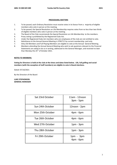# **PROCEDURAL MATTERS**

- 1. To be passed, each Ordinary Resolution must receive votes in its favour from a majority of eligible members who vote in person at the meeting.
- 2. To be passed, the Special Resolution on Life Membership requires votes from no less than two thirds of eligible members who vote in person at the meeting.
- 3. The Board of the Club recommends the Special Resolution on Life Membership to the members.
- 4. Proxy voting is prohibited by the Registered Clubs Act.
- 5. Under the Registered Clubs Act members who are employees of the club are not entitled to vote.
- 6. Admittance to the Annual General Meeting is STRICTLY by current membership card only.
- 7. Only Life Members and Full Playing Members are eligible to vote at the Annual General Meeting.
- 8. Members attending the Annual General Meeting who wish to ask questions relevant to the Financial Statements are asked to do so in writing, addressed to the General Manager, and received no later than Monday the 25<sup>th</sup> of October 2021.

# **NOTES TO MEMBERS:**

**Voting for Directors is held at the club at the times and dates listed below. Life, full golfing and social members (with the exception of staff members) are eligible to vote in Board elections.**

Dated: 07/10/2021

By the Direction of the Board

# **LUKE STEPHENSON GENERAL MANAGER**

| Sat 23rd October | 11am - 12noon<br>$3pm - 5pm$  |
|------------------|-------------------------------|
| Sun 24th October | 12noon - 2pm                  |
| Mon 25th October | $4pm$ - 6 $pm$                |
| Tue 26th October | $4pm$ - 6 $pm$                |
| Wed 27th October | $1pm - 3pm$                   |
| Thu 28th October | $1pm - 3pm$                   |
| Fri 29th October | $1pm - 3pm$<br>$4pm$ - 6 $pm$ |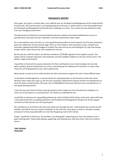# **PRESIDENTS REPORT**

Once again, this report is written after a very difficult year for the Board and Management of the Yamba Golf & Country Club. The Covid situation is not disappearing any time soon. It will be with us in the foreseeable future but the Board and Management will handle each challenge as it arises. This is what we have achieved to date in an ever changing environment.

The Department of Health has recommended we become a double vaccinated establishment as soon as possible which will assist the club's operation, and more importantly, keep it open.

On a more positive note, the club is in a very good financial position to move forward. Our five year machinery policy has rolled over into the second stage. All of our new mowers, work machinery, buses, and golf carts have been updated well within budget for another five years but we are still waiting for our two new fairway mowers which, when they arrive, will complete the roll over.

By the time you read this report, we will have started our \$250,000 upgrade of the irrigation system. The system will be computer operated, solar powered, and will complete irrigation to all areas of the course. This will be a huge move forward.

I would like to thank all of our great volunteers for their contributions to our club including: the concrete paths, gardens, general maintenance on course, and setting up the clubhouse for functions, to name a few. Thank you all for giving back to your club so generously.

Many thanks are due to all our staff members for their hard work to support the club in these difficult times.

To the Board and Management, a massive thanks for making decisions on the direction of the club. Some decisions were made years ago e.g. the five year machinery replacement program and the very big decision to clear the decks moving forward. We took a loss of \$500,000 but those past decisions have now placed us in a very good working position.

In the last two years there has been some great government support for the club which has enabled us to come out of shut downs in a sound position. Our thanks are extended for this.

I would like to welcome our new golfing professional, Jamie Corkhill and his family, to the club. Jamie will bring a new path forward for our golfing operations and the Board and Management will give him all the support necessary to help improve our club's great game.

My condolences to all of those who have lost loved ones through the year. Unfortunately we recently lost life member, Ken Wood. Ken was a great contributor to the club over many years as well as a fantastic member, and person to have associated with our club. My thoughts go out to Ken's family.

Finally, I would like to thank you, the members, for playing golf, supporting your club, and making it such a great meeting place. Please keep playing, supporting, and enjoying your club and course. We are so lucky to have it.

**TONY MORAN PRESIDENT**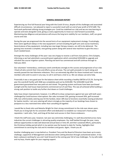#### **GENERAL MANAGER REPORT**

Experiencing our first full financial year living with the Covid-19 virus, despite all the challenges and associated difficult circumstances, I am pleased to report a successful result with an end of year profit of \$737,609. The hard work performed utilising strong strategies pre- Covid has stabilised our club and we are now learning to operate and exist alongside Covid, giving us every opportunity to move our club forward successfully. Maintaining due diligence and persistence will ensure the long term viability for our members, staff, our great course and club.

During the year we progressed into the second term of our equipment replacement strategy. Frustratingly, there were significant delays in the new equipment's arrival including the golf carts and course machinery. Several pieces of key equipment, including two new larger fairway mowers, are still to be delivered. The gaming area received a complete, new gaming system along with several new machines to give the area a much needed boost.

Amongst the many challenges of the year I was very happy to receive a call from club patron, Chris Gulaptis, informing us we had submitted a successful grant application which committed \$250,000 to upgrade and refurbish the course irrigation system. Planning and work has commenced and will continue through to February 2023.

Our volunteers' tremendous, continuous work contributes strongly to the success and progression of our club. I thank all who commit their time and efforts across all areas. The cart path proceeds to march along and recently passed the two kilometre milestone. This is an extremely big effort for those involved and I invite any members who wish to assist in any way, to call in and have a chat to us. We can always use extra help.

Financially it was a very good year for the balance sheet while recording a healthy EBITDA of 25.2%. During the year the overdraft facility with NAB was completely paid out by \$220,000. The \$250,000 Covid 50% government guaranteed loan was paid out and closed. The gaming system and buses have been purchased outright and the club house improvements commenced out of cash flow. This was all achieved while building a strong cash position to tackle any further shut downs or Covid challenges.

Sales have shown improvement, however, it is difficult to draw comparisons against last year with both years challenged by Covid business interruptions. Bar sales increased 13%, gaming increased 26%, golf increased 10%, but unfortunately catering was hit the hardest, down 18% due to functions essentially ceasing production for twelve months. I am sure catering will return strongly as the majority of our bookings have chosen to postpone to a less restricted time rather than cancelling all together.

I would like to thank John and Natasha Wright for their strong commitment to the club over eleven years. Thank you to Greg Syle for his consistent effort and dedication to establish our restaurant's food quality reputation. I wish John, Tash, and Greg all the best and success in their future endeavors.

I thank the staff every year, however, last year was extremely challenging. It is well documented across many industries the current challenges in attracting quality employees. Our staff battled through the year, many without opportunities to take well deserved annual leave or time off, and their sustained efforts, particularly the Christmas holiday period which in my opinion was the busiest to date for Yamba, highlights their commitment to servicing the club and its members and guests. Again, I thank you all.

Another challenging year is now behind us. President Tony and the Board of Directors have been up to every challenge, supportive of Management and decisive when setting direction through unchartered waters. It has been a pleasure working for you and I look forward to the coming year full of new challenges. To my wife Jodie and my boys, thanks again for your ongoing support.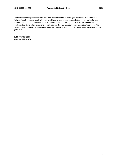Overall the club has performed extremely well. These continue to be tough times for all, especially when isolated from friends and family with restricted living circumstances enforced at very short notice for long periods. The members have been active in support of our club throughout, reassuring staff who are implementing Covid safety plans, and overall enjoying the club, the course, and each other's company. We have more very challenging times ahead and I look forward to your continued support and enjoyment of this great club.

**LUKE STEPHENSON GENERAL MANAGER**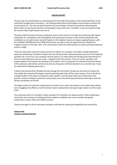#### **GREENS REPORT**

This last year has certainly been an interesting test for the staff and members of the Yamba Golf Club. Covid restrictions brought great uncertainty - not knowing exactly what would happen next has been stressful and concerning for all – but now we look forward to this new change. Increased vaccinations influencing the government to ease Covid restrictions will hopefully create a bit more "normality" so we can enjoy the long, hot summer days of golf ahead as we use to.

The green staff have been very busy conducting work on the course at a steady rate continuing with regular preparation for competition and social golfing, and assisting the volunteers with cement preparation and installation on cart paths when required. Repairs to the irrigation system are always ongoing however, with the available \$250 000 grant from NSW Government, we have a very rare opportunity to complete our irrigation system on the 14th, 16th, 17th, and southern half of the 18th fairways to a fully automated watering system at night.

There are many other areas this money will also be utilised. For example, A Grundfos variable speed drive pump has already been installed to replace the very old pump that maintained water pressure on the hydraulic sprinkler line. A new Toro Lynx computer control system is on order which will provide great improvement in how our most important resource, water, is applied to the turf surfaces. There are valves, sprinklers and suspect pipelines that will also be replaced as time allows, and it is important to understand that the entirety of this extensive work will be carried out by the very few green staff and volunteers we currently have. If you are interested in helping, please do so.

In March the Clarence River flooded and even though the river doesn't break over the banks at Yamba, the river height does keep the flood gates closed preventing water flow off the course proper. Prior to the flood, multiple weather fronts kept increasing the water aquifers until the water table was actually above the ground's surface resulting in excessive running water across the 4th fairway and ducks swimming in both the fairway and bunkers at the 4th.

The larger portion of machinery replacement occurred in June, which was timely as the smaller work utilities were struggling to be effective, but the fairway mower replacements and large rough mower are still on back order.

The continuous work on cart paths is quite amazing! The volunteers are always present, either preparing or cementing, and now they are helping with the irrigation installation too, not to mention the garden maintenance, branch, limb, and rubbish removal.

Thanks once again to all the volunteers and green staff who do a great job thoughtfully and consistently.

**MARK RYAN COURSE SUPERINTENDENT**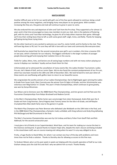#### **MATCH REPORT**

Another difficult year so far for our world with golf, one of the few sports allowed to continue, being a small positive among the many negatives, and bringing many new players to our great game. With numbers increasing like they are, the game and club will continue to grow in years to come.

We also endured the very sad departure of John and Tash from the Pro shop. They supported us for almost 11 years and in that time encouraged so many new members to join our club. John is the epitome of fostering golf, with his clinics and Track Man technology, he gives his all to help others improve their game. Although we'll miss their smiling faces they've left us with some great staff: Leigh, Irvine, and Reilly. Thanks for keeping golf going during these trying times.

On the other hand we're very excited to welcome our new Pro, Jamie Corkill, and his family to the club. They will have big shoes to fill, but I'm sure they will fall in love with our town and community like everyone does.

Golf Australia has stated that for the second consecutive year golf is up in numbers, this time a massive 25% on last year, which is fantastic for our industry. The biggest contributor is the larger numbers of younger people discovering golf and enjoying their isolation time on the course.

Fields for Ladies, Mens, Vets, and Seniors are all seeing large numbers and with not many visitors playing our course it displays our members' loyalty and we thank them for that.

Unfortunately we've witnessed the cancellation of many events like: the Ladies October Tournament, Ladies Pro-am, Vet's Week of Golf, and our Junior Open. We've also faced the constant postponement of our Pro-am, which has now been moved to the 18th and 19th of December 2021. We look forward to next year when all these events are overflowing with golfers keen to return to our beautiful course.

We congratulate the worthy winners of our Ladies Championships: Darrie Nightingale again winning the Ladies A Grade from Susan Scott, Glen Czarnota was the winner from Di Sigle in B Grade, and Ann Schuhmacher was victorious over Meg Kulmar in C Grade. This year's 9 Hole Championships, which continues to grow greatly, was won by Sonya McLennan.

Sue Wilson and Jo Simmons won the 4BBB Match Play Championships, and Ann groom and Val Pate won the Foursomes Championships from Robyn Brockwell and Nadene Carroll.

In the Men's Championships: Richie Carter won convincingly from Jolon Homewood, Andre Rizk won the A Grade net from Craig Penman, Darryl Hagarty beat Tommy James for the title in B Grade, and Jeff Boylan triumphed Nick Allan (both fairly new to the game) in C grade.

The Match Play Champion was Peter Brennan who defeated Luke Woldseth on the 19th hole in the final, and in the 2BBB Match Play Championships a fantastic rivalry unfolded, with Greg Laforest and Andy King defeating Phil McDougal and Neil Drummond in the final.

The Men's Foursomes Championships was won by Col Lindsay and Barry Fisher from Geoff Flett and Rick Addinsall, for the second consecutive year.

I must give a lot of thanks to our Superintendent, Mark Ryan, and his team for making our course the best in the Clarence and beyond. A special thanks to Clayton Hope who, despite the club's closure and being included in the stood down staff, was on course mowing and raking when he wasn't in any way obliged to do so.

Firstly, a huge thanks to David Miles, for whom I can contact any hour of the day with problems and more times than not he finds a solution. Thanks to Dorothy also for allowing us access to this fine man.

To Graham Niland, who is at his post week-in-week-out helping with the smooth operation of Golf at our club. Graham always puts the club first and that's why we admire him so much. Thanks Rowdy.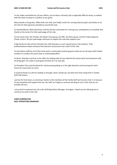To the Ladies committee for all your efforts, you've done a fantastic job in especially difficult times, as evident with the sheer increase in numbers to our game.

Many thanks to Greg Starr, Mike Grills, Ken Hall, and Teddy Tuchin for running Veterans golf, and thanks to all the Vets for their generous donations around the club.

To Harold Roberts, Maiva Burnham, and the Seniors committee for running your competitions so smoothly and thanks to the seniors for their patronage of the club.

To the social clubs: the Tramps, the Oyster Cove group, the DRC, the Skins group, and the Friday Angourie Chook runners. All your patronage continues to support the club that supports you.

A big thanks to Cate and her fantastic bar staff who give us such a good name in the industry. Their professionalism makes everyone feel welcome and proud to be a part of this club.

To the kitchen staff for all of their hard work in continually producing great meals we can all enjoy with limited numbers to conduct the work load, an outstanding effort.

To Khara, Brendon and Eryn in the office for helping with all your behind the scenes work and assistance with all things golf. You make us look good and that isn't an easy job.

To President Tony and the Board for continuously guiding us in the right direction and ensuring the club's future for many years to come.

A massive thanks to Luke for leading us through, what I would say, has been the most trying time in Yamba Golf Club history.

Last but far from least, an enormous thanks to the members of the Yamba Golf and Country Club. It is because of your positivity and support that we, the staff, are happy to continue working at such a fine club we can proudly call ours.

I am proud to represent you all as the Golf Operations Manager, and again, I thank you for allowing me to continue my work in this role

**CHRIS DURRINGTON GOLF OPERATIONS MANAGER**